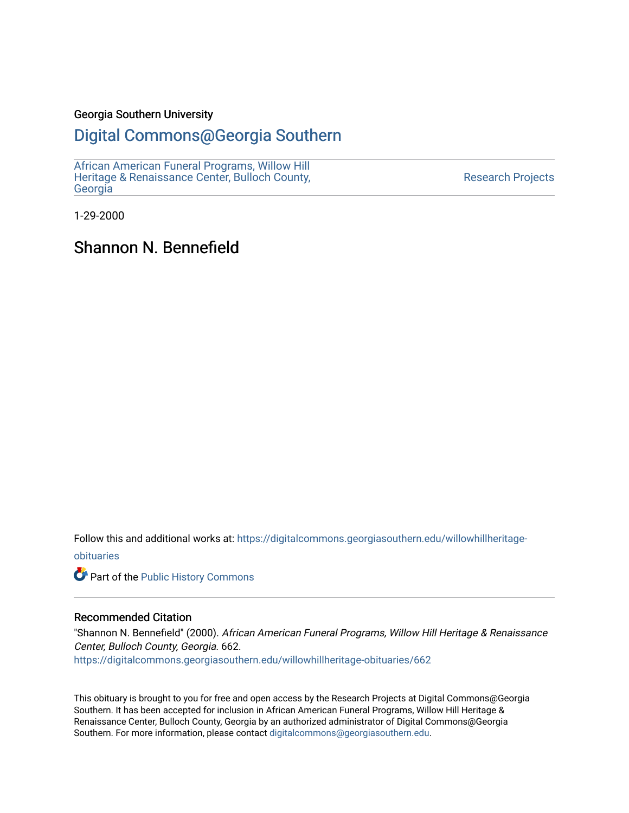### Georgia Southern University

## [Digital Commons@Georgia Southern](https://digitalcommons.georgiasouthern.edu/)

[African American Funeral Programs, Willow Hill](https://digitalcommons.georgiasouthern.edu/willowhillheritage-obituaries)  [Heritage & Renaissance Center, Bulloch County,](https://digitalcommons.georgiasouthern.edu/willowhillheritage-obituaries) [Georgia](https://digitalcommons.georgiasouthern.edu/willowhillheritage-obituaries)

[Research Projects](https://digitalcommons.georgiasouthern.edu/research-projects) 

1-29-2000

# Shannon N. Bennefield

Follow this and additional works at: [https://digitalcommons.georgiasouthern.edu/willowhillheritage](https://digitalcommons.georgiasouthern.edu/willowhillheritage-obituaries?utm_source=digitalcommons.georgiasouthern.edu%2Fwillowhillheritage-obituaries%2F662&utm_medium=PDF&utm_campaign=PDFCoverPages)[obituaries](https://digitalcommons.georgiasouthern.edu/willowhillheritage-obituaries?utm_source=digitalcommons.georgiasouthern.edu%2Fwillowhillheritage-obituaries%2F662&utm_medium=PDF&utm_campaign=PDFCoverPages)

Part of the [Public History Commons](http://network.bepress.com/hgg/discipline/1292?utm_source=digitalcommons.georgiasouthern.edu%2Fwillowhillheritage-obituaries%2F662&utm_medium=PDF&utm_campaign=PDFCoverPages) 

### Recommended Citation

"Shannon N. Bennefield" (2000). African American Funeral Programs, Willow Hill Heritage & Renaissance Center, Bulloch County, Georgia. 662. [https://digitalcommons.georgiasouthern.edu/willowhillheritage-obituaries/662](https://digitalcommons.georgiasouthern.edu/willowhillheritage-obituaries/662?utm_source=digitalcommons.georgiasouthern.edu%2Fwillowhillheritage-obituaries%2F662&utm_medium=PDF&utm_campaign=PDFCoverPages) 

This obituary is brought to you for free and open access by the Research Projects at Digital Commons@Georgia Southern. It has been accepted for inclusion in African American Funeral Programs, Willow Hill Heritage & Renaissance Center, Bulloch County, Georgia by an authorized administrator of Digital Commons@Georgia Southern. For more information, please contact [digitalcommons@georgiasouthern.edu](mailto:digitalcommons@georgiasouthern.edu).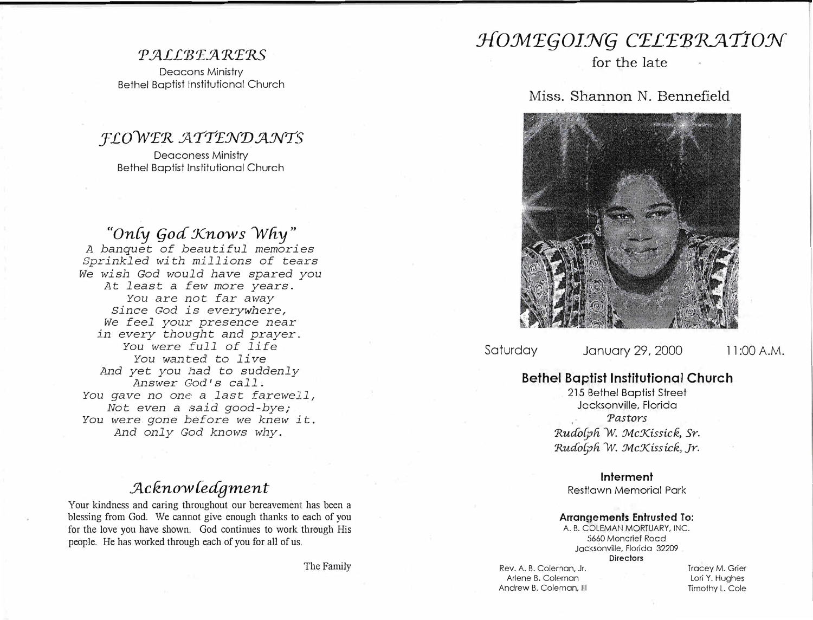### $PALLBEARERS$

Deacons Ministry Bethel Baptist institutional Church

### *:f'LOVVT'R :ATTTNV:ANTS*  Deaconess Ministry

Bethel Baptist Institutional Church

*"On{y (joa Xnows VV!iy" A banquet of beautiful memories*  Sprinkled with millions of tears *We wish God would have spared you At least a few more years. You are not far away Since God is everywhere, We feel* your *presence near in every thought and prayer .. You were full of life You* wanted to *live And yet you had* to *suddenly Answer* God's *call. You gave no one a last farewell, Not even a said good-bye; You were gone before we knew it. And only God knows why.* 

# *. Jlcknovv {eagment*

Your kindness and caring throughout our bereavement has been a blessing from God. We cannot give enough thanks to each of you for the love you have shown. God continues to work through His people. He has worked through each of you for all of us.

The Family

# $HOMEGOING$  CELEBRATION

for the late

### Miss. Shannon N. Bennefield



Saturday January 29, 2000 11:00 A.M.

## **Bethel Baptist Institutional Church**

215 Bethel Baptist Street Jacksonville, Florida *Pastors*   $Rudolph$  W. McKissick, Sr.  $Rudolph$  W. McKissick, Jr.

### **Interment**

Restlawn Memorial Park

#### **Arrangements Entrusted To:**

A. B. COLEMAN MORTUARY, INC. 5660 Moncrief Road Jacksonville, Florida 32209 **Directors** 

Rev. A. B. Coleman, Jr. Arlene B. Coleman Andrew B. Coleman, Ill

Tracey M. Grier Lori Y. Hughes Timothy L. Cole